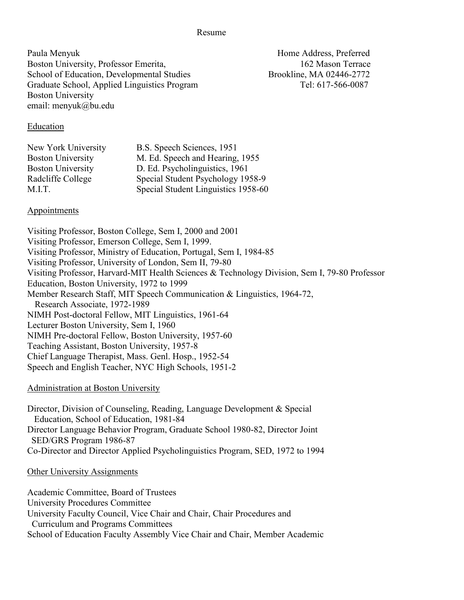Resume

Paula Menyuk Home Address, Preferred Boston University, Professor Emerita, 162 Mason Terrace School of Education, Developmental Studies Brookline, MA 02446-2772 Graduate School, Applied Linguistics Program Tel: 617-566-0087 Boston University email: menyuk@bu.edu

#### Education

| New York University      | B.S. Speech Sciences, 1951          |
|--------------------------|-------------------------------------|
| <b>Boston University</b> | M. Ed. Speech and Hearing, 1955     |
| <b>Boston University</b> | D. Ed. Psycholinguistics, 1961      |
| Radcliffe College        | Special Student Psychology 1958-9   |
| M.I.T.                   | Special Student Linguistics 1958-60 |
|                          |                                     |

## Appointments

Visiting Professor, Boston College, Sem I, 2000 and 2001 Visiting Professor, Emerson College, Sem I, 1999. Visiting Professor, Ministry of Education, Portugal, Sem I, 1984-85 Visiting Professor, University of London, Sem II, 79-80 Visiting Professor, Harvard-MIT Health Sciences & Technology Division, Sem I, 79-80 Professor Education, Boston University, 1972 to 1999 Member Research Staff, MIT Speech Communication & Linguistics, 1964-72, Research Associate, 1972-1989 NIMH Post-doctoral Fellow, MIT Linguistics, 1961-64 Lecturer Boston University, Sem I, 1960 NIMH Pre-doctoral Fellow, Boston University, 1957-60 Teaching Assistant, Boston University, 1957-8 Chief Language Therapist, Mass. Genl. Hosp., 1952-54 Speech and English Teacher, NYC High Schools, 1951-2

## Administration at Boston University

Director, Division of Counseling, Reading, Language Development & Special Education, School of Education, 1981-84 Director Language Behavior Program, Graduate School 1980-82, Director Joint SED/GRS Program 1986-87 Co-Director and Director Applied Psycholinguistics Program, SED, 1972 to 1994

#### Other University Assignments

Academic Committee, Board of Trustees

University Procedures Committee

University Faculty Council, Vice Chair and Chair, Chair Procedures and

Curriculum and Programs Committees

School of Education Faculty Assembly Vice Chair and Chair, Member Academic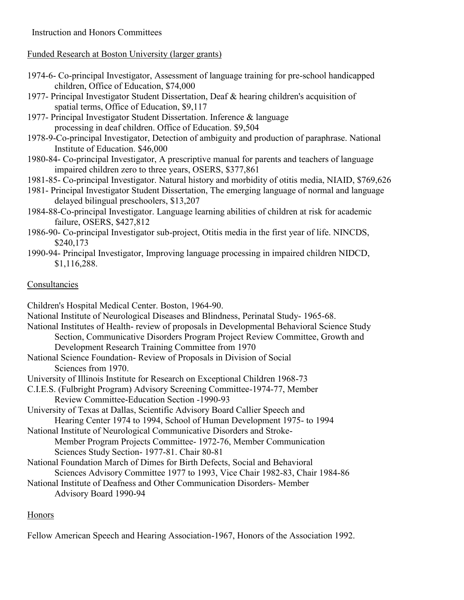# Instruction and Honors Committees

## Funded Research at Boston University (larger grants)

- 1974-6- Co-principal Investigator, Assessment of language training for pre-school handicapped children, Office of Education, \$74,000
- 1977- Principal Investigator Student Dissertation, Deaf & hearing children's acquisition of spatial terms, Office of Education, \$9,117
- 1977- Principal Investigator Student Dissertation. Inference & language processing in deaf children. Office of Education. \$9,504
- 1978-9-Co-principal Investigator, Detection of ambiguity and production of paraphrase. National Institute of Education. \$46,000
- 1980-84- Co-principal Investigator, A prescriptive manual for parents and teachers of language impaired children zero to three years, OSERS, \$377,861
- 1981-85- Co-principal Investigator. Natural history and morbidity of otitis media, NIAID, \$769,626
- 1981- Principal Investigator Student Dissertation, The emerging language of normal and language delayed bilingual preschoolers, \$13,207
- 1984-88-Co-principal Investigator. Language learning abilities of children at risk for academic failure, OSERS, \$427,812
- 1986-90- Co-principal Investigator sub-project, Otitis media in the first year of life. NINCDS, \$240,173
- 1990-94- Principal Investigator, Improving language processing in impaired children NIDCD, \$1,116,288.

# Consultancies

Children's Hospital Medical Center. Boston, 1964-90.

National Institute of Neurological Diseases and Blindness, Perinatal Study- 1965-68.

- National Institutes of Health- review of proposals in Developmental Behavioral Science Study Section, Communicative Disorders Program Project Review Committee, Growth and Development Research Training Committee from 1970
- National Science Foundation- Review of Proposals in Division of Social Sciences from 1970.
- University of Illinois Institute for Research on Exceptional Children 1968-73
- C.I.E.S. (Fulbright Program) Advisory Screening Committee-1974-77, Member Review Committee-Education Section -1990-93
- University of Texas at Dallas, Scientific Advisory Board Callier Speech and Hearing Center 1974 to 1994, School of Human Development 1975- to 1994
- National Institute of Neurological Communicative Disorders and Stroke-Member Program Projects Committee- 1972-76, Member Communication Sciences Study Section- 1977-81. Chair 80-81
- National Foundation March of Dimes for Birth Defects, Social and Behavioral Sciences Advisory Committee 1977 to 1993, Vice Chair 1982-83, Chair 1984-86
- National Institute of Deafness and Other Communication Disorders- Member Advisory Board 1990-94

# Honors

Fellow American Speech and Hearing Association-1967, Honors of the Association 1992.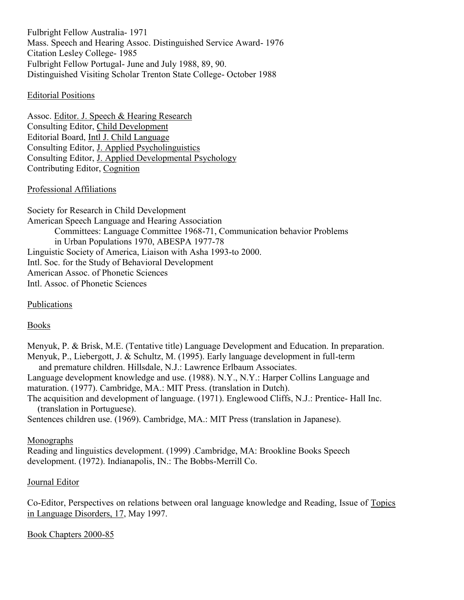Fulbright Fellow Australia- 1971 Mass. Speech and Hearing Assoc. Distinguished Service Award- 1976 Citation Lesley College- 1985 Fulbright Fellow Portugal- June and July 1988, 89, 90. Distinguished Visiting Scholar Trenton State College- October 1988

#### Editorial Positions

Assoc. Editor. J. Speech & Hearing Research Consulting Editor, Child Development Editorial Board, Intl J. Child Language Consulting Editor, J. Applied Psycholinguistics Consulting Editor, J. Applied Developmental Psychology Contributing Editor, Cognition

#### Professional Affiliations

Society for Research in Child Development American Speech Language and Hearing Association Committees: Language Committee 1968-71, Communication behavior Problems in Urban Populations 1970, ABESPA 1977-78 Linguistic Society of America, Liaison with Asha 1993-to 2000. Intl. Soc. for the Study of Behavioral Development American Assoc. of Phonetic Sciences Intl. Assoc. of Phonetic Sciences

## Publications

## Books

Menyuk, P. & Brisk, M.E. (Tentative title) Language Development and Education. In preparation. Menyuk, P., Liebergott, J. & Schultz, M. (1995). Early language development in full-term and premature children. Hillsdale, N.J.: Lawrence Erlbaum Associates. Language development knowledge and use. (1988). N.Y., N.Y.: Harper Collins Language and maturation. (1977). Cambridge, MA.: MIT Press. (translation in Dutch). The acquisition and development of language. (1971). Englewood Cliffs, N.J.: Prentice- Hall Inc. (translation in Portuguese). Sentences children use. (1969). Cambridge, MA.: MIT Press (translation in Japanese).

#### Monographs

Reading and linguistics development. (1999) .Cambridge, MA: Brookline Books Speech development. (1972). Indianapolis, IN.: The Bobbs-Merrill Co.

#### Journal Editor

Co-Editor, Perspectives on relations between oral language knowledge and Reading, Issue of Topics in Language Disorders, 17, May 1997.

Book Chapters 2000-85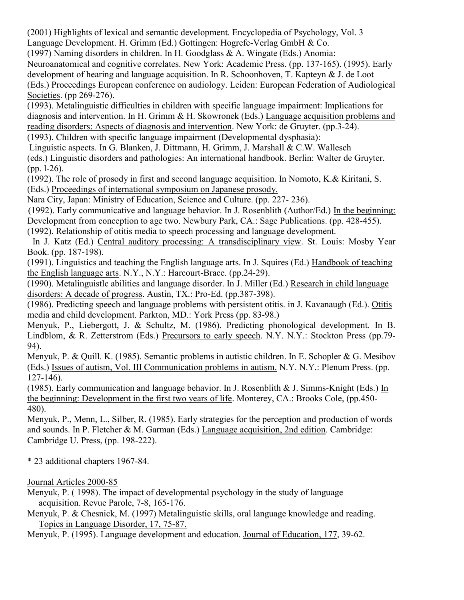(2001) Highlights of lexical and semantic development. Encyclopedia of Psychology, Vol. 3

Language Development. H. Grimm (Ed.) Gottingen: Hogrefe-Verlag GmbH & Co.

(1997) Naming disorders in children. In H. Goodglass & A. Wingate (Eds.) Anomia:

Neuroanatomical and cognitive correlates. New York: Academic Press. (pp. 137-165). (1995). Early development of hearing and language acquisition. In R. Schoonhoven, T. Kapteyn & J. de Loot (Eds.) Proceedings European conference on audiology. Leiden: European Federation of Audiological Societies. (pp 269-276).

(1993). Metalinguistic difficulties in children with specific language impairment: Implications for diagnosis and intervention. In H. Grimm & H. Skowronek (Eds.) Language acquisition problems and reading disorders: Aspects of diagnosis and intervention. New York: de Gruyter. (pp.3-24). (1993). Children with specific language impairment (Developmental dysphasia):

Linguistic aspects. In G. Blanken, J. Dittmann, H. Grimm, J. Marshall & C.W. Wallesch (eds.) Linguistic disorders and pathologies: An international handbook. Berlin: Walter de Gruyter. (pp. l-26).

(1992). The role of prosody in first and second language acquisition. In Nomoto, K.& Kiritani, S. (Eds.) Proceedings of international symposium on Japanese prosody.

Nara City, Japan: Ministry of Education, Science and Culture. (pp. 227- 236).

(1992). Early communicative and language behavior. In J. Rosenblith (Author/Ed.) In the beginning:

Development from conception to age two. Newbury Park, CA.: Sage Publications. (pp. 428-455).

(1992). Relationship of otitis media to speech processing and language development.

In J. Katz (Ed.) Central auditory processing: A transdisciplinary view. St. Louis: Mosby Year Book. (pp. 187-198).

(1991). Linguistics and teaching the English language arts. In J. Squires (Ed.) Handbook of teaching the English language arts. N.Y., N.Y.: Harcourt-Brace. (pp.24-29).

(1990). Metalinguistlc abilities and language disorder. In J. Miller (Ed.) Research in child language disorders: A decade of progress. Austin, TX.: Pro-Ed. (pp.387-398).

(1986). Predicting speech and language problems with persistent otitis. in J. Kavanaugh (Ed.). Otitis media and child development. Parkton, MD.: York Press (pp. 83-98.)

Menyuk, P., Liebergott, J. & Schultz, M. (1986). Predicting phonological development. In B. Lindblom, & R. Zetterstrom (Eds.) Precursors to early speech. N.Y. N.Y.: Stockton Press (pp.79- 94).

Menyuk, P. & Quill. K. (1985). Semantic problems in autistic children. In E. Schopler & G. Mesibov (Eds.) Issues of autism, Vol. III Communication problems in autism. N.Y. N.Y.: Plenum Press. (pp. 127-146).

(1985). Early communication and language behavior. In J. Rosenblith & J. Simms-Knight (Eds.) In the beginning: Development in the first two years of life. Monterey, CA.: Brooks Cole, (pp.450- 480).

Menyuk, P., Menn, L., Silber, R. (1985). Early strategies for the perception and production of words and sounds. In P. Fletcher & M. Garman (Eds.) Language acquisition, 2nd edition. Cambridge: Cambridge U. Press, (pp. 198-222).

\* 23 additional chapters 1967-84.

# Journal Articles 2000-85

Menyuk, P. ( 1998). The impact of developmental psychology in the study of language acquisition. Revue Parole, 7-8, 165-176.

Menyuk, P. & Chesnick, M. (1997) Metalinguistic skills, oral language knowledge and reading. Topics in Language Disorder, 17, 75-87.

Menyuk, P. (1995). Language development and education. Journal of Education, 177, 39-62.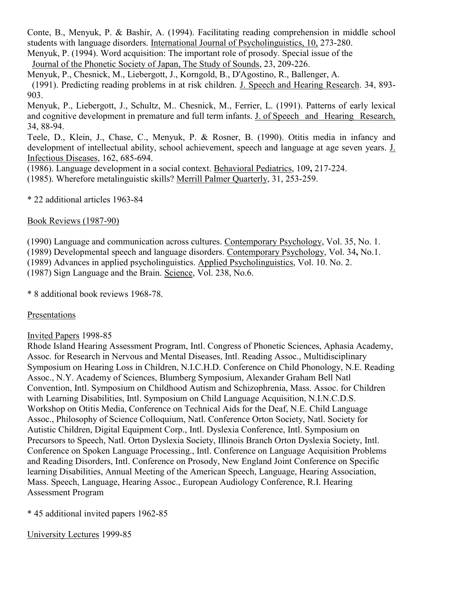Conte, B., Menyuk, P. & Bashir, A. (1994). Facilitating reading comprehension in middle school students with language disorders. International Journal of Psycholinguistics, 10, 273-280.

Menyuk, P. (1994). Word acquisition: The important role of prosody. Special issue of the Journal of the Phonetic Society of Japan, The Study of Sounds, 23, 209-226.

Menyuk, P., Chesnick, M., Liebergott, J., Korngold, B., D'Agostino, R., Ballenger, A. (1991). Predicting reading problems in at risk children. J. Speech and Hearing Research. 34, 893- 903.

Menyuk, P., Liebergott, J., Schultz, M.. Chesnick, M., Ferrier, L. (1991). Patterns of early lexical and cognitive development in premature and full term infants. J. of Speech and Hearing Research, 34, 88-94.

Teele, D., Klein, J., Chase, C., Menyuk, P. & Rosner, B. (1990). Otitis media in infancy and development of intellectual ability, school achievement, speech and language at age seven years. J. Infectious Diseases, 162, 685-694.

(1986). Language development in a social context. Behavioral Pediatrics, 109**,** 217-224. (1985). Wherefore metalinguistic skills? Merrill Palmer Quarterly, 31, 253-259.

\* 22 additional articles 1963-84

Book Reviews (1987-90)

(1990) Language and communication across cultures. Contemporary Psychology, Vol. 35, No. 1. (1989) Developmental speech and language disorders. Contemporary Psychology, Vol. 34**,** No.1. (1989) Advances in applied psycholinguistics. Applied Psycholinguistics, Vol. 10. No. 2. (1987) Sign Language and the Brain. Science, Vol. 238, No.6.

\* 8 additional book reviews 1968-78.

## Presentations

## Invited Papers 1998-85

Rhode Island Hearing Assessment Program, Intl. Congress of Phonetic Sciences, Aphasia Academy, Assoc. for Research in Nervous and Mental Diseases, Intl. Reading Assoc., Multidisciplinary Symposium on Hearing Loss in Children, N.I.C.H.D. Conference on Child Phonology, N.E. Reading Assoc., N.Y. Academy of Sciences, Blumberg Symposium, Alexander Graham Bell Natl Convention, Intl. Symposium on Childhood Autism and Schizophrenia, Mass. Assoc. for Children with Learning Disabilities, Intl. Symposium on Child Language Acquisition, N.I.N.C.D.S. Workshop on Otitis Media, Conference on Technical Aids for the Deaf, N.E. Child Language Assoc., Philosophy of Science Colloquium, Natl. Conference Orton Society, Natl. Society for Autistic Children, Digital Equipment Corp., Intl. Dyslexia Conference, Intl. Symposium on Precursors to Speech, Natl. Orton Dyslexia Society, Illinois Branch Orton Dyslexia Society, Intl. Conference on Spoken Language Processing., Intl. Conference on Language Acquisition Problems and Reading Disorders, Intl. Conference on Prosody, New England Joint Conference on Specific learning Disabilities, Annual Meeting of the American Speech, Language, Hearing Association, Mass. Speech, Language, Hearing Assoc., European Audiology Conference, R.I. Hearing Assessment Program

\* 45 additional invited papers 1962-85

University Lectures 1999-85